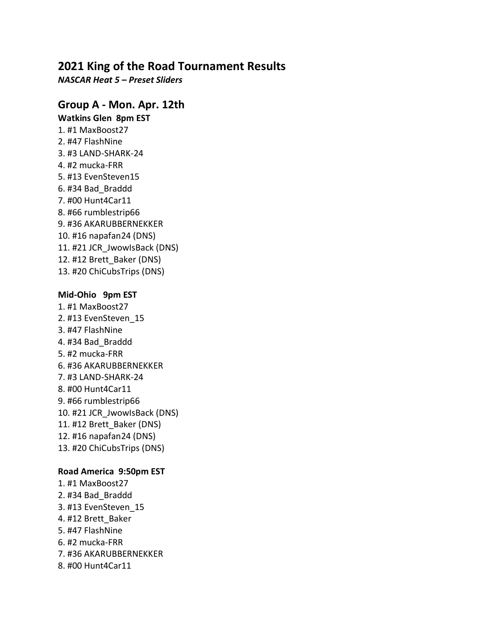# **2021 King of the Road Tournament Results**

*NASCAR Heat 5 – Preset Sliders*

### **Group A - Mon. Apr. 12th**

**Watkins Glen 8pm EST** 1. #1 MaxBoost27 2. #47 FlashNine 3. #3 LAND-SHARK-24 4. #2 mucka-FRR 5. #13 EvenSteven15 6. #34 Bad\_Braddd 7. #00 Hunt4Car11 8. #66 rumblestrip66 9. #36 AKARUBBERNEKKER 10. #16 napafan24 (DNS) 11. #21 JCR\_JwowIsBack (DNS) 12. #12 Brett\_Baker (DNS) 13. #20 ChiCubsTrips (DNS)

#### **Mid-Ohio 9pm EST**

1. #1 MaxBoost27 2. #13 EvenSteven\_15 3. #47 FlashNine 4. #34 Bad\_Braddd 5. #2 mucka-FRR 6. #36 AKARUBBERNEKKER 7. #3 LAND-SHARK-24 8. #00 Hunt4Car11 9. #66 rumblestrip66 10. #21 JCR\_JwowIsBack (DNS) 11. #12 Brett\_Baker (DNS) 12. #16 napafan24 (DNS) 13. #20 ChiCubsTrips (DNS)

### **Road America 9:50pm EST**

1. #1 MaxBoost27 2. #34 Bad\_Braddd 3. #13 EvenSteven\_15 4. #12 Brett\_Baker 5. #47 FlashNine 6. #2 mucka-FRR 7. #36 AKARUBBERNEKKER 8. #00 Hunt4Car11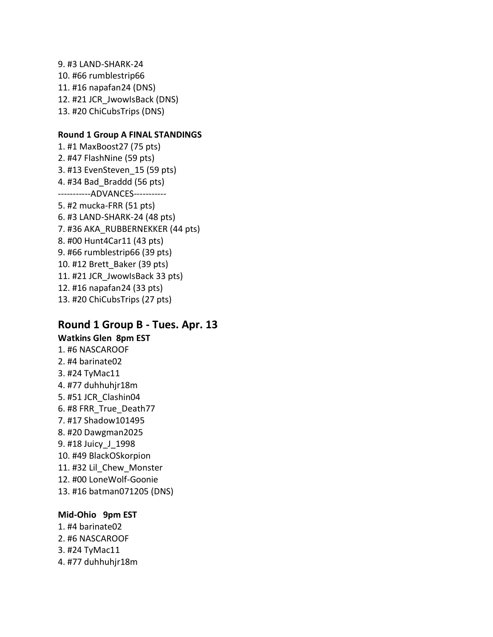9. #3 LAND-SHARK-24 10. #66 rumblestrip66 11. #16 napafan24 (DNS) 12. #21 JCR\_JwowIsBack (DNS) 13. #20 ChiCubsTrips (DNS)

#### **Round 1 Group A FINAL STANDINGS**

1. #1 MaxBoost27 (75 pts) 2. #47 FlashNine (59 pts) 3. #13 EvenSteven\_15 (59 pts) 4. #34 Bad\_Braddd (56 pts) -----------ADVANCES----------- 5. #2 mucka-FRR (51 pts) 6. #3 LAND-SHARK-24 (48 pts) 7. #36 AKA\_RUBBERNEKKER (44 pts) 8. #00 Hunt4Car11 (43 pts) 9. #66 rumblestrip66 (39 pts) 10. #12 Brett\_Baker (39 pts) 11. #21 JCR\_JwowIsBack 33 pts) 12. #16 napafan24 (33 pts) 13. #20 ChiCubsTrips (27 pts)

# **Round 1 Group B - Tues. Apr. 13 Watkins Glen 8pm EST**

1. #6 NASCAROOF 2. #4 barinate02 3. #24 TyMac11 4. #77 duhhuhjr18m 5. #51 JCR\_Clashin04 6. #8 FRR\_True\_Death77 7. #17 Shadow101495 8. #20 Dawgman2025 9. #18 Juicy\_J\_1998 10. #49 BlackOSkorpion 11. #32 Lil\_Chew\_Monster 12. #00 LoneWolf-Goonie 13. #16 batman071205 (DNS)

#### **Mid-Ohio 9pm EST**

- 1. #4 barinate02 2. #6 NASCAROOF
- 3. #24 TyMac11
- 4. #77 duhhuhjr18m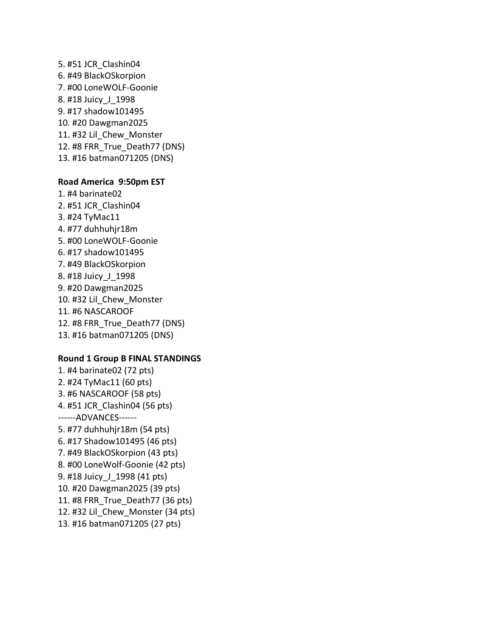5. #51 JCR\_Clashin04 6. #49 BlackOSkorpion 7. #00 LoneWOLF-Goonie 8. #18 Juicy\_J\_1998 9. #17 shadow101495 10. #20 Dawgman2025 11. #32 Lil\_Chew\_Monster 12. #8 FRR\_True\_Death77 (DNS) 13. #16 batman071205 (DNS)

#### **Road America 9:50pm EST**

1. #4 barinate02 2. #51 JCR\_Clashin04 3. #24 TyMac11 4. #77 duhhuhjr18m 5. #00 LoneWOLF-Goonie 6. #17 shadow101495 7. #49 BlackOSkorpion 8. #18 Juicy\_J\_1998 9. #20 Dawgman2025 10. #32 Lil\_Chew\_Monster 11. #6 NASCAROOF 12. #8 FRR\_True\_Death77 (DNS) 13. #16 batman071205 (DNS)

#### **Round 1 Group B FINAL STANDINGS**

1. #4 barinate02 (72 pts) 2. #24 TyMac11 (60 pts) 3. #6 NASCAROOF (58 pts) 4. #51 JCR\_Clashin04 (56 pts) ------ADVANCES------ 5. #77 duhhuhjr18m (54 pts) 6. #17 Shadow101495 (46 pts) 7. #49 BlackOSkorpion (43 pts) 8. #00 LoneWolf-Goonie (42 pts) 9. #18 Juicy\_J\_1998 (41 pts) 10. #20 Dawgman2025 (39 pts) 11. #8 FRR\_True\_Death77 (36 pts) 12. #32 Lil\_Chew\_Monster (34 pts) 13. #16 batman071205 (27 pts)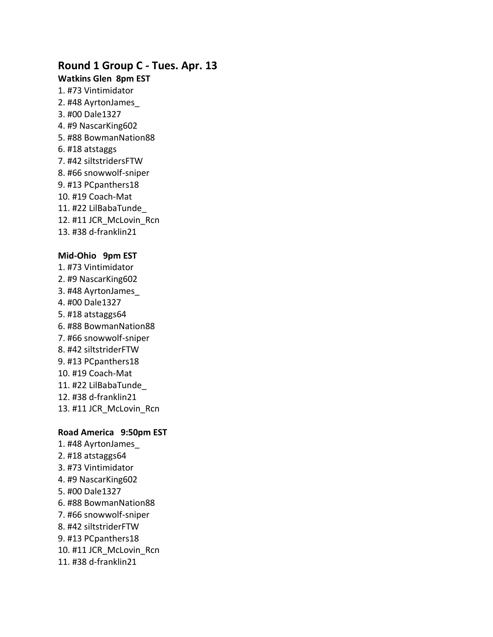# **Round 1 Group C - Tues. Apr. 13**

### **Watkins Glen 8pm EST**

1. #73 Vintimidator 2. #48 AyrtonJames\_ 3. #00 Dale1327 4. #9 NascarKing602 5. #88 BowmanNation88 6. #18 atstaggs 7. #42 siltstridersFTW 8. #66 snowwolf-sniper 9. #13 PCpanthers18 10. #19 Coach-Mat 11. #22 LilBabaTunde\_ 12. #11 JCR\_McLovin\_Rcn 13. #38 d-franklin21

#### **Mid-Ohio 9pm EST**

1. #73 Vintimidator 2. #9 NascarKing602 3. #48 AyrtonJames\_ 4. #00 Dale1327 5. #18 atstaggs64 6. #88 BowmanNation88 7. #66 snowwolf-sniper 8. #42 siltstriderFTW 9. #13 PCpanthers18 10. #19 Coach-Mat 11. #22 LilBabaTunde\_ 12. #38 d-franklin21 13. #11 JCR\_McLovin\_Rcn

### **Road America 9:50pm EST**

1. #48 AyrtonJames\_ 2. #18 atstaggs64 3. #73 Vintimidator 4. #9 NascarKing602 5. #00 Dale1327 6. #88 BowmanNation88 7. #66 snowwolf-sniper 8. #42 siltstriderFTW 9. #13 PCpanthers18 10. #11 JCR\_McLovin\_Rcn 11. #38 d-franklin21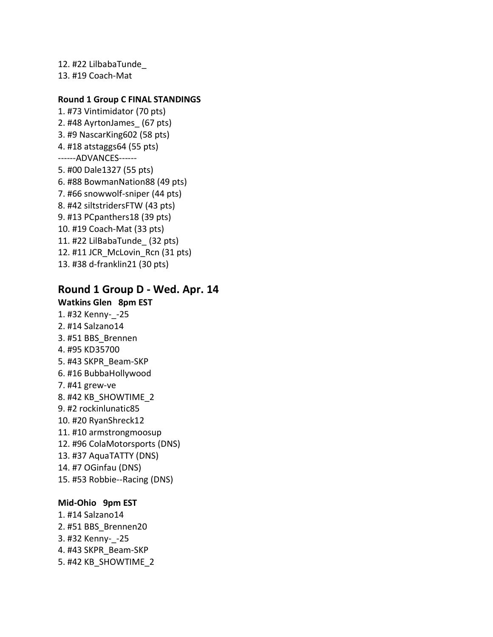12. #22 LilbabaTunde\_ 13. #19 Coach-Mat

### **Round 1 Group C FINAL STANDINGS**

1. #73 Vintimidator (70 pts) 2. #48 AyrtonJames\_ (67 pts) 3. #9 NascarKing602 (58 pts) 4. #18 atstaggs64 (55 pts) ------ADVANCES------ 5. #00 Dale1327 (55 pts) 6. #88 BowmanNation88 (49 pts) 7. #66 snowwolf-sniper (44 pts) 8. #42 siltstridersFTW (43 pts) 9. #13 PCpanthers18 (39 pts) 10. #19 Coach-Mat (33 pts) 11. #22 LilBabaTunde\_ (32 pts) 12. #11 JCR\_McLovin\_Rcn (31 pts) 13. #38 d-franklin21 (30 pts)

### **Round 1 Group D - Wed. Apr. 14**

**Watkins Glen 8pm EST** 1. #32 Kenny-\_-25 2. #14 Salzano14 3. #51 BBS\_Brennen 4. #95 KD35700 5. #43 SKPR\_Beam-SKP 6. #16 BubbaHollywood 7. #41 grew-ve 8. #42 KB\_SHOWTIME\_2 9. #2 rockinlunatic85 10. #20 RyanShreck12 11. #10 armstrongmoosup 12. #96 ColaMotorsports (DNS) 13. #37 AquaTATTY (DNS) 14. #7 OGinfau (DNS) 15. #53 Robbie--Racing (DNS)

#### **Mid-Ohio 9pm EST**

1. #14 Salzano14 2. #51 BBS\_Brennen20 3. #32 Kenny-\_-25 4. #43 SKPR\_Beam-SKP 5. #42 KB\_SHOWTIME\_2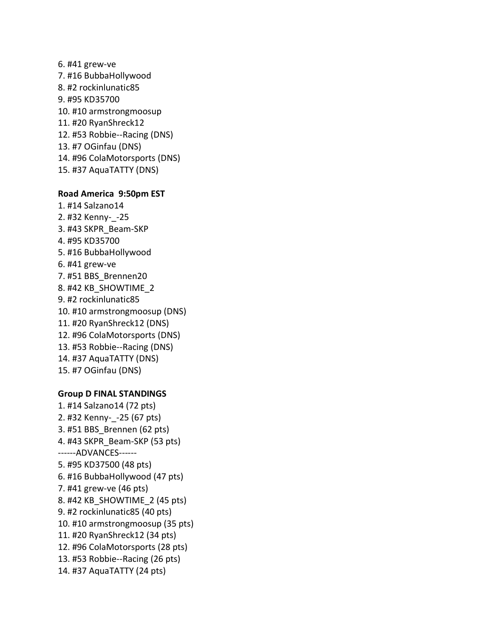6. #41 grew-ve 7. #16 BubbaHollywood 8. #2 rockinlunatic85 9. #95 KD35700 10. #10 armstrongmoosup 11. #20 RyanShreck12 12. #53 Robbie--Racing (DNS) 13. #7 OGinfau (DNS) 14. #96 ColaMotorsports (DNS) 15. #37 AquaTATTY (DNS) **Road America 9:50pm EST** 1. #14 Salzano14 2. #32 Kenny-\_-25 3. #43 SKPR\_Beam-SKP 4. #95 KD35700 5. #16 BubbaHollywood 6. #41 grew-ve 7. #51 BBS\_Brennen20 8. #42 KB\_SHOWTIME\_2 9. #2 rockinlunatic85 10. #10 armstrongmoosup (DNS) 11. #20 RyanShreck12 (DNS) 12. #96 ColaMotorsports (DNS) 13. #53 Robbie--Racing (DNS)

- 14. #37 AquaTATTY (DNS)
- 15. #7 OGinfau (DNS)

### **Group D FINAL STANDINGS**

1. #14 Salzano14 (72 pts) 2. #32 Kenny-\_-25 (67 pts) 3. #51 BBS\_Brennen (62 pts) 4. #43 SKPR\_Beam-SKP (53 pts) ------ADVANCES------ 5. #95 KD37500 (48 pts) 6. #16 BubbaHollywood (47 pts) 7. #41 grew-ve (46 pts) 8. #42 KB\_SHOWTIME\_2 (45 pts) 9. #2 rockinlunatic85 (40 pts) 10. #10 armstrongmoosup (35 pts) 11. #20 RyanShreck12 (34 pts) 12. #96 ColaMotorsports (28 pts) 13. #53 Robbie--Racing (26 pts) 14. #37 AquaTATTY (24 pts)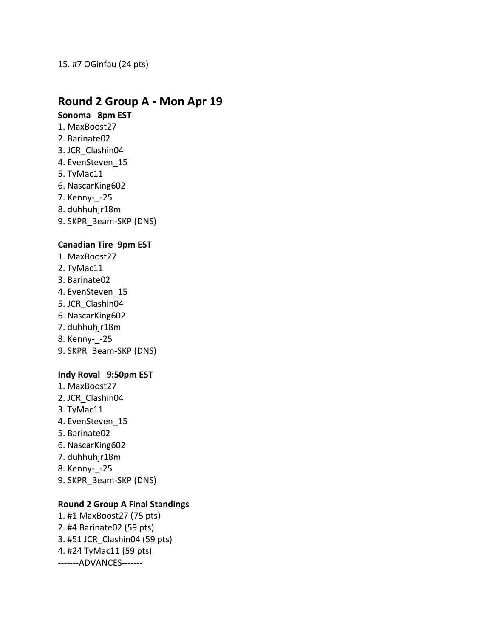### 15. #7 OGinfau (24 pts)

# **Round 2 Group A - Mon Apr 19**

## **Sonoma 8pm EST**

- 1. MaxBoost27
- 2. Barinate02
- 3. JCR\_Clashin04
- 4. EvenSteven\_15
- 5. TyMac11
- 6. NascarKing602
- 7. Kenny-\_-25
- 8. duhhuhjr18m
- 9. SKPR\_Beam-SKP (DNS)

### **Canadian Tire 9pm EST**

- 1. MaxBoost27
- 2. TyMac11
- 3. Barinate02
- 4. EvenSteven\_15
- 5. JCR\_Clashin04
- 6. NascarKing602
- 7. duhhuhjr18m
- 8. Kenny-\_-25
- 9. SKPR\_Beam-SKP (DNS)

### **Indy Roval 9:50pm EST**

- 1. MaxBoost27
- 2. JCR\_Clashin04
- 3. TyMac11
- 4. EvenSteven\_15
- 5. Barinate02
- 6. NascarKing602
- 7. duhhuhjr18m
- 8. Kenny-\_-25
- 9. SKPR\_Beam-SKP (DNS)

### **Round 2 Group A Final Standings**

1. #1 MaxBoost27 (75 pts) 2. #4 Barinate02 (59 pts) 3. #51 JCR\_Clashin04 (59 pts) 4. #24 TyMac11 (59 pts) -------ADVANCES-------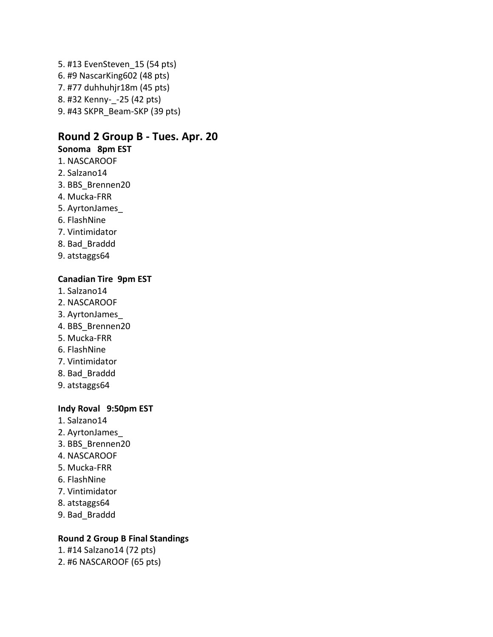5. #13 EvenSteven\_15 (54 pts) 6. #9 NascarKing602 (48 pts) 7. #77 duhhuhjr18m (45 pts) 8. #32 Kenny-\_-25 (42 pts) 9. #43 SKPR\_Beam-SKP (39 pts)

## **Round 2 Group B - Tues. Apr. 20**

### **Sonoma 8pm EST**

- 1. NASCAROOF
- 2. Salzano14
- 3. BBS\_Brennen20
- 4. Mucka-FRR
- 5. AyrtonJames\_
- 6. FlashNine
- 7. Vintimidator
- 8. Bad\_Braddd
- 9. atstaggs64

#### **Canadian Tire 9pm EST**

- 1. Salzano14
- 2. NASCAROOF
- 3. AyrtonJames\_
- 4. BBS\_Brennen20
- 5. Mucka-FRR
- 6. FlashNine
- 7. Vintimidator
- 8. Bad\_Braddd
- 9. atstaggs64

### **Indy Roval 9:50pm EST**

- 1. Salzano14
- 2. AyrtonJames\_
- 3. BBS\_Brennen20
- 4. NASCAROOF
- 5. Mucka-FRR
- 6. FlashNine
- 7. Vintimidator
- 8. atstaggs64
- 9. Bad\_Braddd

### **Round 2 Group B Final Standings**

- 1. #14 Salzano14 (72 pts)
- 2. #6 NASCAROOF (65 pts)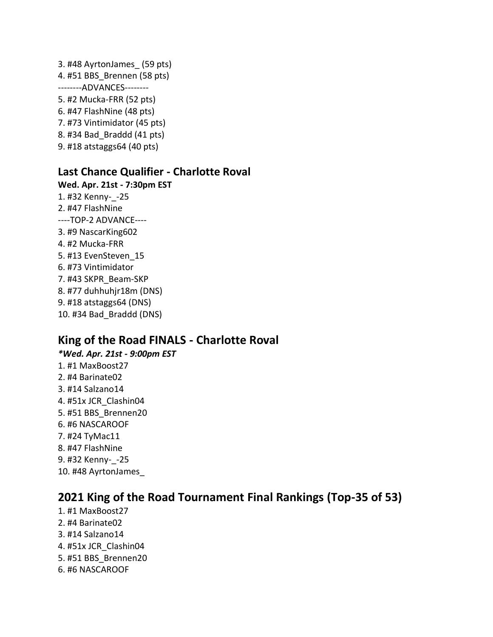3. #48 AyrtonJames\_ (59 pts) 4. #51 BBS\_Brennen (58 pts) --------ADVANCES-------- 5. #2 Mucka-FRR (52 pts) 6. #47 FlashNine (48 pts) 7. #73 Vintimidator (45 pts) 8. #34 Bad\_Braddd (41 pts) 9. #18 atstaggs64 (40 pts)

## **Last Chance Qualifier - Charlotte Roval**

**Wed. Apr. 21st - 7:30pm EST** 1. #32 Kenny-\_-25 2. #47 FlashNine ----TOP-2 ADVANCE---- 3. #9 NascarKing602 4. #2 Mucka-FRR 5. #13 EvenSteven\_15 6. #73 Vintimidator 7. #43 SKPR\_Beam-SKP 8. #77 duhhuhjr18m (DNS) 9. #18 atstaggs64 (DNS) 10. #34 Bad\_Braddd (DNS)

# **King of the Road FINALS - Charlotte Roval**

*\*Wed. Apr. 21st - 9:00pm EST* 1. #1 MaxBoost27 2. #4 Barinate02 3. #14 Salzano14 4. #51x JCR\_Clashin04 5. #51 BBS\_Brennen20 6. #6 NASCAROOF 7. #24 TyMac11 8. #47 FlashNine 9. #32 Kenny-\_-25 10. #48 AyrtonJames\_

# **2021 King of the Road Tournament Final Rankings (Top-35 of 53)**

- 1. #1 MaxBoost27
- 2. #4 Barinate02
- 3. #14 Salzano14
- 4. #51x JCR\_Clashin04
- 5. #51 BBS\_Brennen20
- 6. #6 NASCAROOF